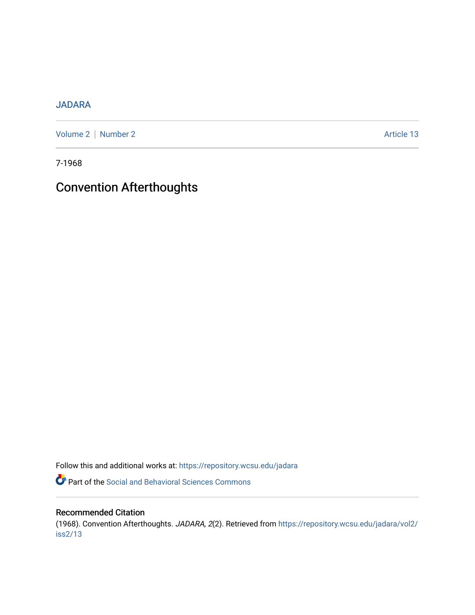# [JADARA](https://repository.wcsu.edu/jadara)

[Volume 2](https://repository.wcsu.edu/jadara/vol2) | [Number 2](https://repository.wcsu.edu/jadara/vol2/iss2) Article 13

7-1968

# Convention Afterthoughts

Follow this and additional works at: [https://repository.wcsu.edu/jadara](https://repository.wcsu.edu/jadara?utm_source=repository.wcsu.edu%2Fjadara%2Fvol2%2Fiss2%2F13&utm_medium=PDF&utm_campaign=PDFCoverPages)

Part of the [Social and Behavioral Sciences Commons](http://network.bepress.com/hgg/discipline/316?utm_source=repository.wcsu.edu%2Fjadara%2Fvol2%2Fiss2%2F13&utm_medium=PDF&utm_campaign=PDFCoverPages) 

# Recommended Citation

(1968). Convention Afterthoughts. JADARA, 2(2). Retrieved from [https://repository.wcsu.edu/jadara/vol2/](https://repository.wcsu.edu/jadara/vol2/iss2/13?utm_source=repository.wcsu.edu%2Fjadara%2Fvol2%2Fiss2%2F13&utm_medium=PDF&utm_campaign=PDFCoverPages) [iss2/13](https://repository.wcsu.edu/jadara/vol2/iss2/13?utm_source=repository.wcsu.edu%2Fjadara%2Fvol2%2Fiss2%2F13&utm_medium=PDF&utm_campaign=PDFCoverPages)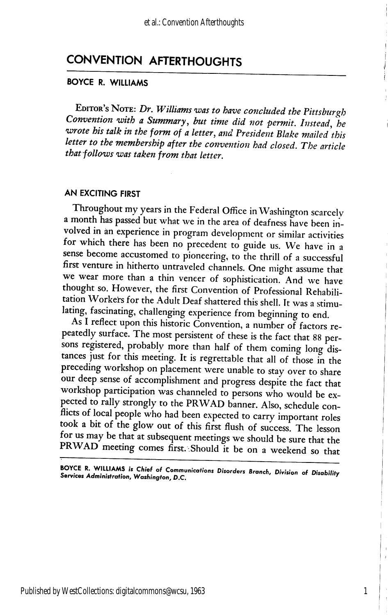# CONVENTION AFTERTHOUGHTS

# BOYCE R. WILLIAMS

EDITOR's NOTE: Dr. Williams was to have concluded the Pittsburgh Convention with a Summary, but time did not permit. Instead, he wrote his talk in the form of a letter, and President Blake mailed this letter to the membership after the convention had closed. The article that follows was taken from that letter.

## AN EXCITING FIRST

Throughout my years in the Federal Office in Washington scarcely a month has passed but what we in the area of deafness have been in volved in an experience in program development or similar activities for which there has been no precedent to guide us. We have in a sense become accustomed to pioneering, to the thrill of a successful first venture in hitherto untraveled channels. One might assume that we wear more than a thin veneer of sophistication. And we have thought so. However, the first Convention of Professional Rehabili tation Workers for the Adult Deaf shattered this shell. It was a stimu lating, fascinating, challenging experience from beginning to end.

As I reflect upon this historic Convention, a number of factors re peatedly surface. The most persistent of these is the fact that 88 per sons registered, probably more than half of them coming long distances just for this meeting. It is regrettable that all of those in the preceding workshop on placement were unable to stay over to share our deep sense of accomplishment and progress despite the fact that workshop participation was channeled to persons who would be ex pected to rally strongly to the PRWAD banner. Also, schedule conflicts of local people who had been expected to carry important roles took a bit of the glow out of this first flush of success. The lesson for us may be that at subsequent meetings we should be sure that the PRWAD meeting comes first. Should it be on a weekend so that

BOYCE R. WILLIAMS is Chief of Communications Disorders Branch, Division of Disability<br>Services Administration, Washington, D.C.

1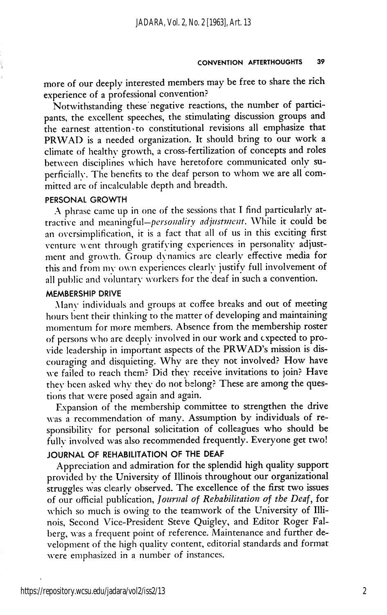more of our deeply interested members may be free to share the rich experience of a professional convention?

Notwithstanding these negative reactions, the number of partici pants, the excellent speeches, the stimulating discussion groups and the earnest attention to constitutional revisions all emphasize that PRWAD is a needed organization. It should bring to our work a climate of healthy growth, a cross-fertilization of concepts and roles between disciplines which have heretofore communicated only su perficially. The benefits to the deaf person to whom we are all com mitted arc of incalculable depth and breadth.

## PERSONAL GROWTH

A phrase came up in one of the sessions that I find particularly at tractive and meaningful-personality adjustment. While it could be an oversimplification, it is a fact that all of us in this exciting first venture went through gratifying experiences in personality adjustment and growth. Group dynamics are clearly effective media for this and from my own experiences clearly justify full involvement of all public and voluntary workers for the deaf in such a convention.

# MEMBERSHIP DRIVE

Many individuals and groups at coffee breaks and out of meeting hours bent their thinking to the matter of developing and maintaining momentum for more members. Absence from the membership roster of persons who are deeply involved in our work and expected to pro vide leadership in important aspects of the PRWAD's mission is dis couraging and disquieting. Why are they not involved? How have we failed to reach them? Did they receive invitations to join? Have they been asked why they do not belong? These are among the ques tions that were posed again and again.

Expansion of the membership committee to strengthen the drive was a recommendation of many. Assumption by individuals of responsibility for personal solicitation of colleagues who should be fully involved was also recommended frequently. Everyone get two! JOURNAL OF REHABILITATION OF THE DEAF

Appreciation and admiration for the splendid high quality support provided by the University of Illinois throughout our organizational struggles was clearly observed. The excellence of the first two issues of our official publication. Journal of Rehabilitation of the Deaf, for which so much is owing to the teamwork of the University of Illi nois, Second Vice-President Steve Quigley, and Editor Roger Falberg, was a frequent point of reference. Maintenance and further de velopment of the high quality content, editorial standards and format xvere emphasized in a number of instances.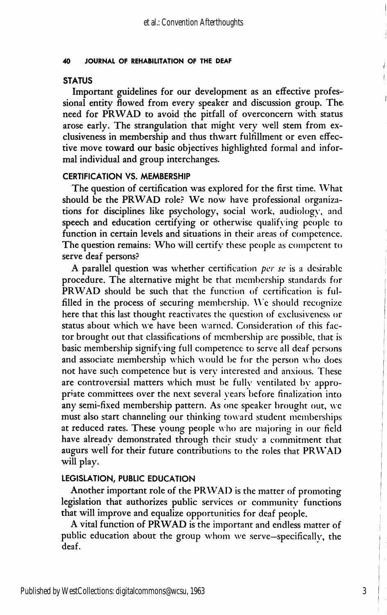## 40 JOURNAL OF REHABILITATION OF THE DEAF

# **STATUS**

Important guidelines for our development as an effective profes sional entity flowed from every speaker and discussion group. The need for PRWAD to avoid the pitfall of overconcern with status arose early. The strangulation that might very well stem from exclusiveness in membership and thus thwart fulfillment or even effec tive move toward our basic objectives highlighted formal and infor mal individual and group interchanges.

# CERTIFICATION VS. MEMBERSHIP

The question of certification was explored for the first time. What should be the PRWAD role? We now have professional organizations for disciplines like psychology, social work, audiology, and speech and education certifying or otherwise qualifying people to function in certain levels and situations in their areas of competence. The question remains: Who will certify these people as competent to serve deaf persons?

A parallel question was whether certification per se is a desirable procedure. The alternative might be that membership standards for PRWAD should be such that the function of certification is ful filled in the process of securing membership. We should recognize here that this last thought reactivates the question of exclusiveness or status about which we have been warned. Consideration of this fac tor brought out that classifications of membership are possible, that is basic membership signifying full competence to serve all deaf persons and associate membership which would be for the person who does not have such competence but is very interested and anxious. These are controversial matters which must be fully ventilated by appro priate committees over the next several years before finalization into any semi-fixed membership pattern. As one speaker brought out, we must also start channeling our thinking tow ard student memberships at reduced rates. These young people w ho are majoring in our field have already demonstrated through their study a commitment that augurs well for their future contributions to the roles that PRWAD will play.

## LEGISLATION, PUBLIC EDUCATION

Another important role of the PRWAD is the matter of promoting legislation that authorizes public services or community functions that will improve and equalize opportunities for deaf people.

A vital function of PRWAD is the important and endless matter of public education about the group whom we serve—specifically, the deaf.